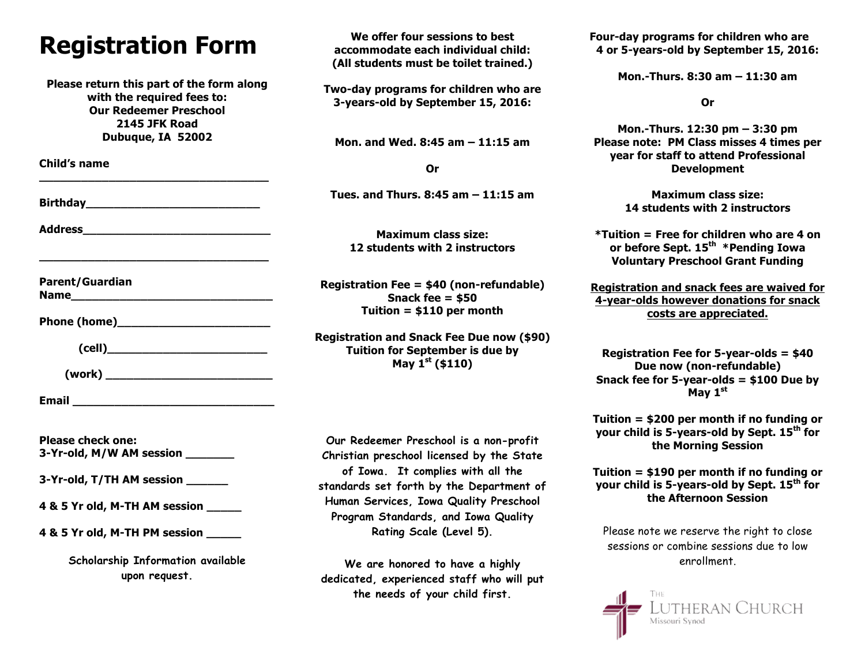# **Registration Form**

**Please return this part of the form along with the required fees to: Our Redeemer Preschool 2145 JFK Road Dubuque, IA 52002**

**\_\_\_\_\_\_\_\_\_\_\_\_\_\_\_\_\_\_\_\_\_\_\_\_\_\_\_\_\_\_\_\_\_**

**\_\_\_\_\_\_\_\_\_\_\_\_\_\_\_\_\_\_\_\_\_\_\_\_\_\_\_\_\_\_\_\_\_**

**Child's name**

**Birthday** 

**Address\_\_\_\_\_\_\_\_\_\_\_\_\_\_\_\_\_\_\_\_\_\_\_\_\_\_\_**

**Parent/Guardian Name** 

Phone (home)

**(cell)\_\_\_\_\_\_\_\_\_\_\_\_\_\_\_\_\_\_\_\_\_\_\_**

 **(work) \_\_\_\_\_\_\_\_\_\_\_\_\_\_\_\_\_\_\_\_\_\_\_\_**

**Email Email** 

**Please check one: 3-Yr-old, M/W AM session \_\_\_\_\_\_\_**

**3-Yr-old, T/TH AM session \_\_\_\_\_\_**

**4 & 5 Yr old, M-TH AM session \_\_\_\_\_**

**4 & 5 Yr old, M-TH PM session \_\_\_\_\_**

**Scholarship Information available upon request.**

**We offer four sessions to best accommodate each individual child: (All students must be toilet trained.)**

**Two-day programs for children who are 3-years-old by September 15, 2016:**

**Mon. and Wed. 8:45 am – 11:15 am**

**Or**

**Tues. and Thurs. 8:45 am – 11:15 am**

**Maximum class size: 12 students with 2 instructors**

**Registration Fee = \$40 (non-refundable) Snack fee = \$50 Tuition = \$110 per month**

**Registration and Snack Fee Due now (\$90) Tuition for September is due by May 1st (\$110)**

**Our Redeemer Preschool is a non-profit Christian preschool licensed by the State of Iowa. It complies with all the standards set forth by the Department of Human Services, Iowa Quality Preschool Program Standards, and Iowa Quality Rating Scale (Level 5).** 

**We are honored to have a highly dedicated, experienced staff who will put the needs of your child first.**

**Four-day programs for children who are 4 or 5-years-old by September 15, 2016:**

**Mon.-Thurs. 8:30 am – 11:30 am**

**Or**

**Mon.-Thurs. 12:30 pm – 3:30 pm Please note: PM Class misses 4 times per year for staff to attend Professional Development**

> **Maximum class size: 14 students with 2 instructors**

**\*Tuition = Free for children who are 4 on or before Sept. 15th \*Pending Iowa Voluntary Preschool Grant Funding**

**Registration and snack fees are waived for 4-year-olds however donations for snack costs are appreciated.**

**Registration Fee for 5-year-olds = \$40 Due now (non-refundable) Snack fee for 5-year-olds = \$100 Due by May 1st**

**Tuition = \$200 per month if no funding or your child is 5-years-old by Sept. 15th for the Morning Session**

**Tuition = \$190 per month if no funding or your child is 5-years-old by Sept. 15th for the Afternoon Session**

Please note we reserve the right to close sessions or combine sessions due to low enrollment.